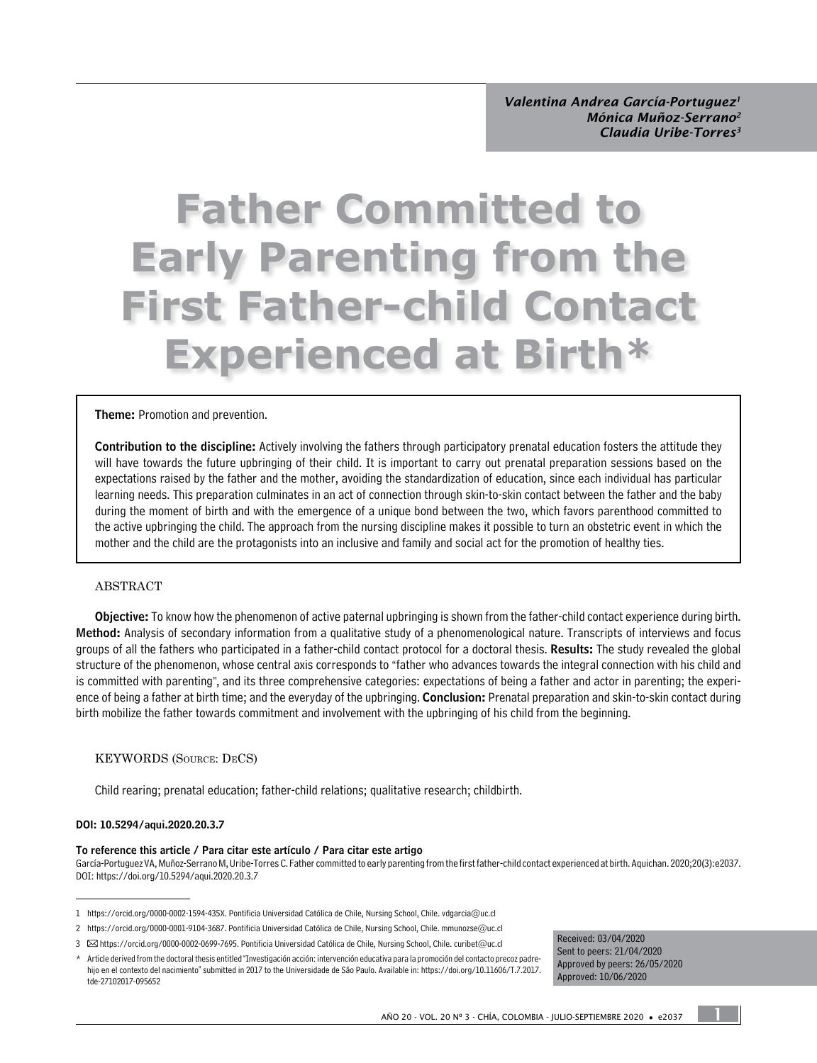# **Father Committed to Early Parenting from the First Father-child Contact Experienced at Birth\***

#### Theme: Promotion and prevention.

Contribution to the discipline: Actively involving the fathers through participatory prenatal education fosters the attitude they will have towards the future upbringing of their child. It is important to carry out prenatal preparation sessions based on the expectations raised by the father and the mother, avoiding the standardization of education, since each individual has particular learning needs. This preparation culminates in an act of connection through skin-to-skin contact between the father and the baby during the moment of birth and with the emergence of a unique bond between the two, which favors parenthood committed to the active upbringing the child. The approach from the nursing discipline makes it possible to turn an obstetric event in which the mother and the child are the protagonists into an inclusive and family and social act for the promotion of healthy ties.

#### ABSTRACT

Objective: To know how the phenomenon of active paternal upbringing is shown from the father-child contact experience during birth. Method: Analysis of secondary information from a qualitative study of a phenomenological nature. Transcripts of interviews and focus groups of all the fathers who participated in a father-child contact protocol for a doctoral thesis. Results: The study revealed the global structure of the phenomenon, whose central axis corresponds to "father who advances towards the integral connection with his child and is committed with parenting", and its three comprehensive categories: expectations of being a father and actor in parenting; the experience of being a father at birth time; and the everyday of the upbringing. **Conclusion:** Prenatal preparation and skin-to-skin contact during birth mobilize the father towards commitment and involvement with the upbringing of his child from the beginning.

#### KEYWORDS (Source: DeCS)

Child rearing; prenatal education; father-child relations; qualitative research; childbirth.

#### DOI: [10.5294/aqui.2020.20.3.7](https://doi.org/10.5294/aqui.2020.20.3.7)

#### To reference this article / Para citar este artículo / Para citar este artigo

[García-Portuguez VA](https://orcid.org/0000-0002-1594-435X), [Muñoz-Serrano M,](https://orcid.org/0000-0001-9104-3687) [Uribe-Torres C](https://orcid.org/0000-0002-0699-7695). Father committed to early parenting from the first father-child contact experienced at birth. Aquichan. 2020;20(3):e2037. DOI: <https://doi.org/10.5294/aqui.2020.20.3.7>

3 [https://orcid.org/0000-0002-0699-7695.](https://orcid.org/0000-0002-0699-7695) Pontificia Universidad Católica de Chile, Nursing School, Chile. [curibet@uc.cl](mailto:curibet@uc.cl)

Received: 03/04/2020 Sent to peers: 21/04/2020 Approved by peers: 26/05/2020 Approved: 10/06/2020

1

<sup>1</sup> [https://orcid.org/0000-0002-1594-435X.](https://orcid.org/0000-0002-1594-435X) Pontificia Universidad Católica de Chile, Nursing School, Chile. [vdgarcia@uc.cl](mailto:vdgarcia@uc.cl)

<sup>2</sup> <https://orcid.org/0000-0001-9104-3687>. Pontificia Universidad Católica de Chile, Nursing School, Chile. [mmunozse@uc.cl](mailto:mmunozse@uc.cl)

<sup>\*</sup> Article derived from the doctoral thesis entitled "Investigación acción: intervención educativa para la promoción del contacto precoz padrehijo en el contexto del nacimiento" submitted in 2017 to the Universidade de São Paulo. Available in: [https://doi.org/10.11606/T.7.2017.](https://doi.org/10.11606/T.7.2017.tde-27102017-095652) [tde-27102017-095652](https://doi.org/10.11606/T.7.2017.tde-27102017-095652)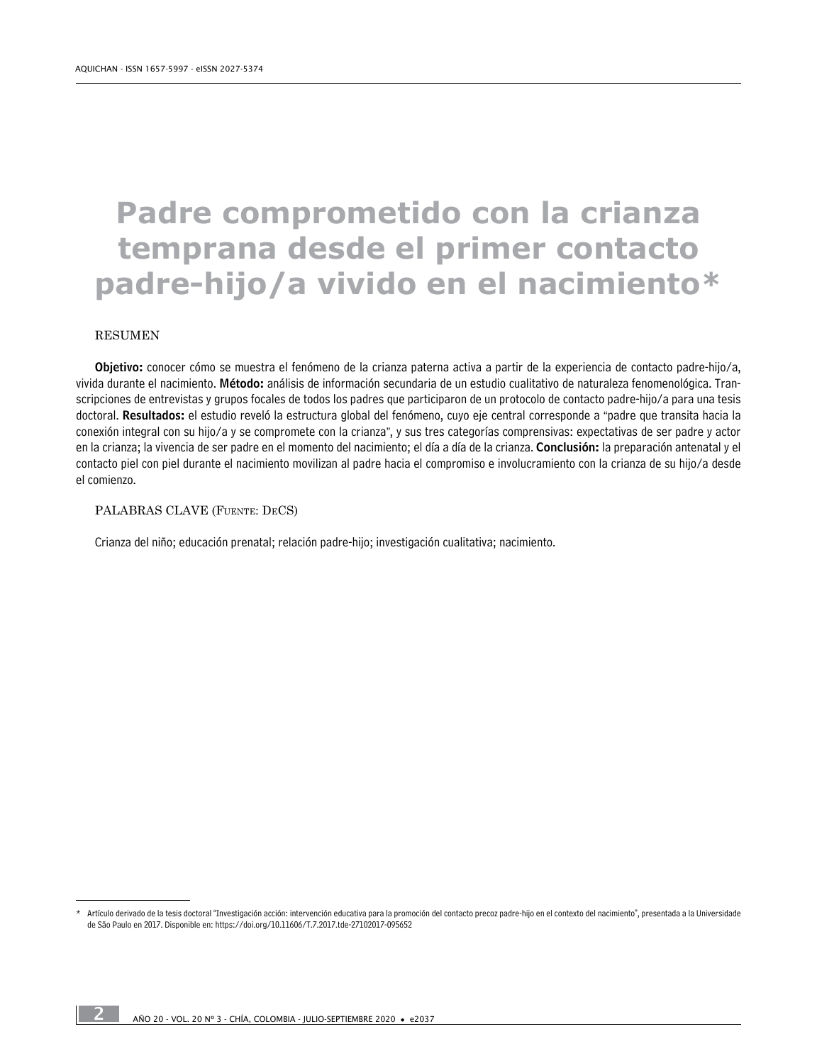## **Padre comprometido con la crianza temprana desde el primer contacto padre-hijo/a vivido en el nacimiento\***

#### **RESUMEN**

Objetivo: conocer cómo se muestra el fenómeno de la crianza paterna activa a partir de la experiencia de contacto padre-hijo/a, vivida durante el nacimiento. Método: análisis de información secundaria de un estudio cualitativo de naturaleza fenomenológica. Transcripciones de entrevistas y grupos focales de todos los padres que participaron de un protocolo de contacto padre-hijo/a para una tesis doctoral. Resultados: el estudio reveló la estructura global del fenómeno, cuyo eje central corresponde a "padre que transita hacia la conexión integral con su hijo/a y se compromete con la crianza", y sus tres categorías comprensivas: expectativas de ser padre y actor en la crianza; la vivencia de ser padre en el momento del nacimiento; el día a día de la crianza. Conclusión: la preparación antenatal y el contacto piel con piel durante el nacimiento movilizan al padre hacia el compromiso e involucramiento con la crianza de su hijo/a desde el comienzo.

#### PALABRAS CLAVE (Fuente: DeCS)

Crianza del niño; educación prenatal; relación padre-hijo; investigación cualitativa; nacimiento.

Artículo derivado de la tesis doctoral "Investigación acción: intervención educativa para la promoción del contacto precoz padre-hijo en el contexto del nacimiento", presentada a la Universidade de São Paulo en 2017. Disponible en: <https://doi.org/10.11606/T.7.2017.tde-27102017-095652>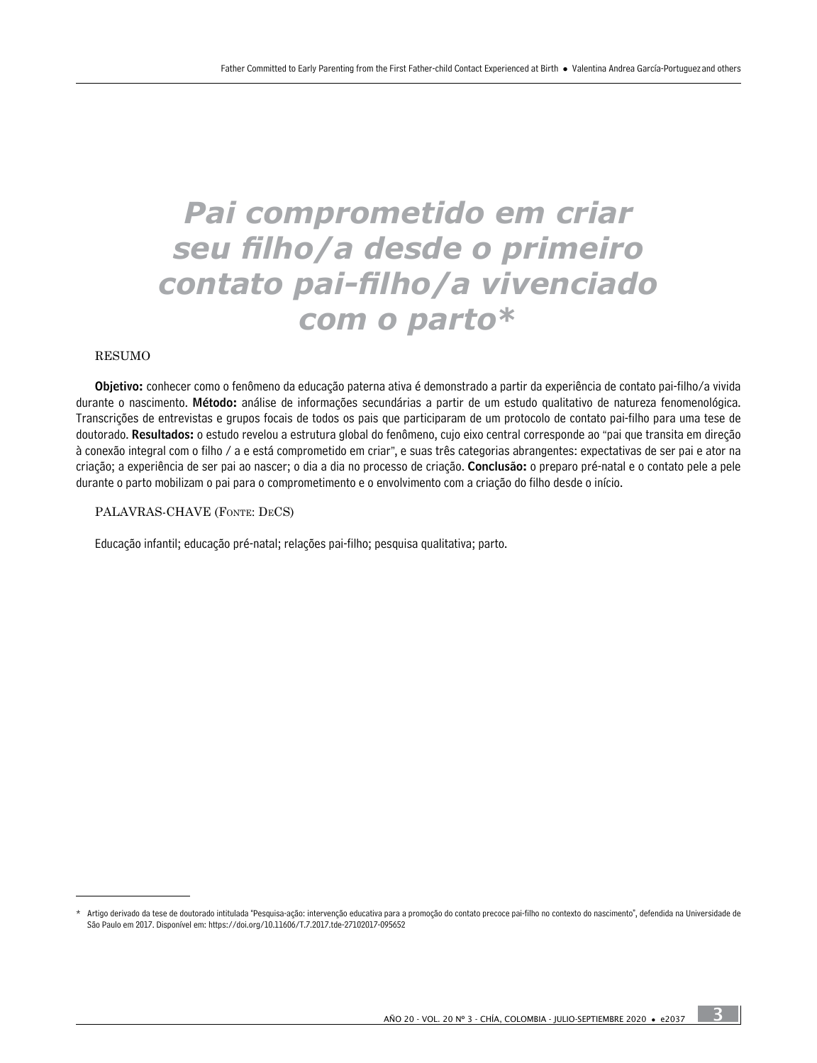## *Pai comprometido em criar seu filho/a desde o primeiro contato pai-filho/a vivenciado com o parto***\***

#### RESUMO

Objetivo: conhecer como o fenômeno da educação paterna ativa é demonstrado a partir da experiência de contato pai-filho/a vivida durante o nascimento. Método: análise de informações secundárias a partir de um estudo qualitativo de natureza fenomenológica. Transcrições de entrevistas e grupos focais de todos os pais que participaram de um protocolo de contato pai-filho para uma tese de doutorado. Resultados: o estudo revelou a estrutura global do fenômeno, cujo eixo central corresponde ao "pai que transita em direção à conexão integral com o filho / a e está comprometido em criar", e suas três categorias abrangentes: expectativas de ser pai e ator na criação; a experiência de ser pai ao nascer; o dia a dia no processo de criação. Conclusão: o preparo pré-natal e o contato pele a pele durante o parto mobilizam o pai para o comprometimento e o envolvimento com a criação do filho desde o início.

#### PALAVRAS-CHAVE (Fonte: DeCS)

Educação infantil; educação pré-natal; relações pai-filho; pesquisa qualitativa; parto.

Artigo derivado da tese de doutorado intitulada "Pesquisa-ação: intervenção educativa para a promoção do contato precoce pai-filho no contexto do nascimento", defendida na Universidade de São Paulo em 2017. Disponível em: <https://doi.org/10.11606/T.7.2017.tde-27102017-095652>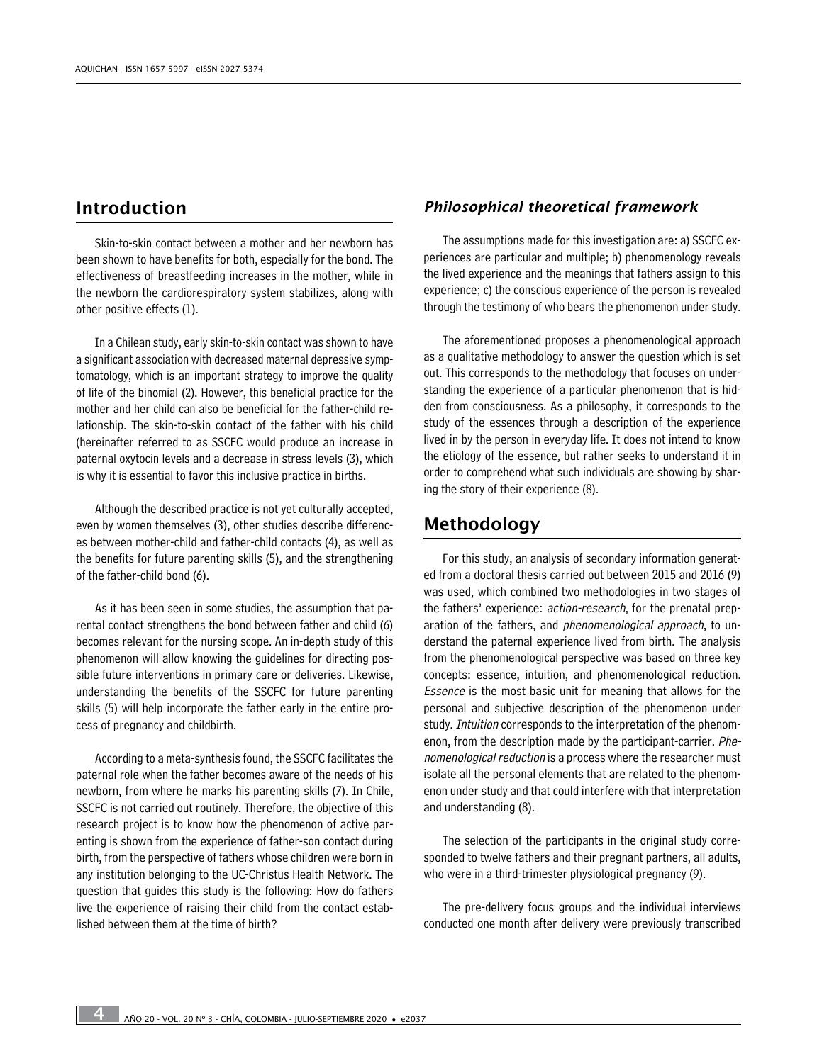## Introduction

Skin-to-skin contact between a mother and her newborn has been shown to have benefits for both, especially for the bond. The effectiveness of breastfeeding increases in the mother, while in the newborn the cardiorespiratory system stabilizes, along with other positive effects (1).

In a Chilean study, early skin-to-skin contact was shown to have a significant association with decreased maternal depressive symptomatology, which is an important strategy to improve the quality of life of the binomial (2). However, this beneficial practice for the mother and her child can also be beneficial for the father-child relationship. The skin-to-skin contact of the father with his child (hereinafter referred to as SSCFC would produce an increase in paternal oxytocin levels and a decrease in stress levels (3), which is why it is essential to favor this inclusive practice in births.

Although the described practice is not yet culturally accepted, even by women themselves (3), other studies describe differences between mother-child and father-child contacts (4), as well as the benefits for future parenting skills (5), and the strengthening of the father-child bond (6).

As it has been seen in some studies, the assumption that parental contact strengthens the bond between father and child (6) becomes relevant for the nursing scope. An in-depth study of this phenomenon will allow knowing the guidelines for directing possible future interventions in primary care or deliveries. Likewise, understanding the benefits of the SSCFC for future parenting skills (5) will help incorporate the father early in the entire process of pregnancy and childbirth.

According to a meta-synthesis found, the SSCFC facilitates the paternal role when the father becomes aware of the needs of his newborn, from where he marks his parenting skills (7). In Chile, SSCFC is not carried out routinely. Therefore, the objective of this research project is to know how the phenomenon of active parenting is shown from the experience of father-son contact during birth, from the perspective of fathers whose children were born in any institution belonging to the UC-Christus Health Network. The question that guides this study is the following: How do fathers live the experience of raising their child from the contact established between them at the time of birth?

## *Philosophical theoretical framework*

The assumptions made for this investigation are: a) SSCFC experiences are particular and multiple; b) phenomenology reveals the lived experience and the meanings that fathers assign to this experience; c) the conscious experience of the person is revealed through the testimony of who bears the phenomenon under study.

The aforementioned proposes a phenomenological approach as a qualitative methodology to answer the question which is set out. This corresponds to the methodology that focuses on understanding the experience of a particular phenomenon that is hidden from consciousness. As a philosophy, it corresponds to the study of the essences through a description of the experience lived in by the person in everyday life. It does not intend to know the etiology of the essence, but rather seeks to understand it in order to comprehend what such individuals are showing by sharing the story of their experience (8).

## Methodology

For this study, an analysis of secondary information generated from a doctoral thesis carried out between 2015 and 2016 (9) was used, which combined two methodologies in two stages of the fathers' experience: action-research, for the prenatal preparation of the fathers, and phenomenological approach, to understand the paternal experience lived from birth. The analysis from the phenomenological perspective was based on three key concepts: essence, intuition, and phenomenological reduction. Essence is the most basic unit for meaning that allows for the personal and subjective description of the phenomenon under study. Intuition corresponds to the interpretation of the phenomenon, from the description made by the participant-carrier. Phenomenological reduction is a process where the researcher must isolate all the personal elements that are related to the phenomenon under study and that could interfere with that interpretation and understanding (8).

The selection of the participants in the original study corresponded to twelve fathers and their pregnant partners, all adults, who were in a third-trimester physiological pregnancy (9).

The pre-delivery focus groups and the individual interviews conducted one month after delivery were previously transcribed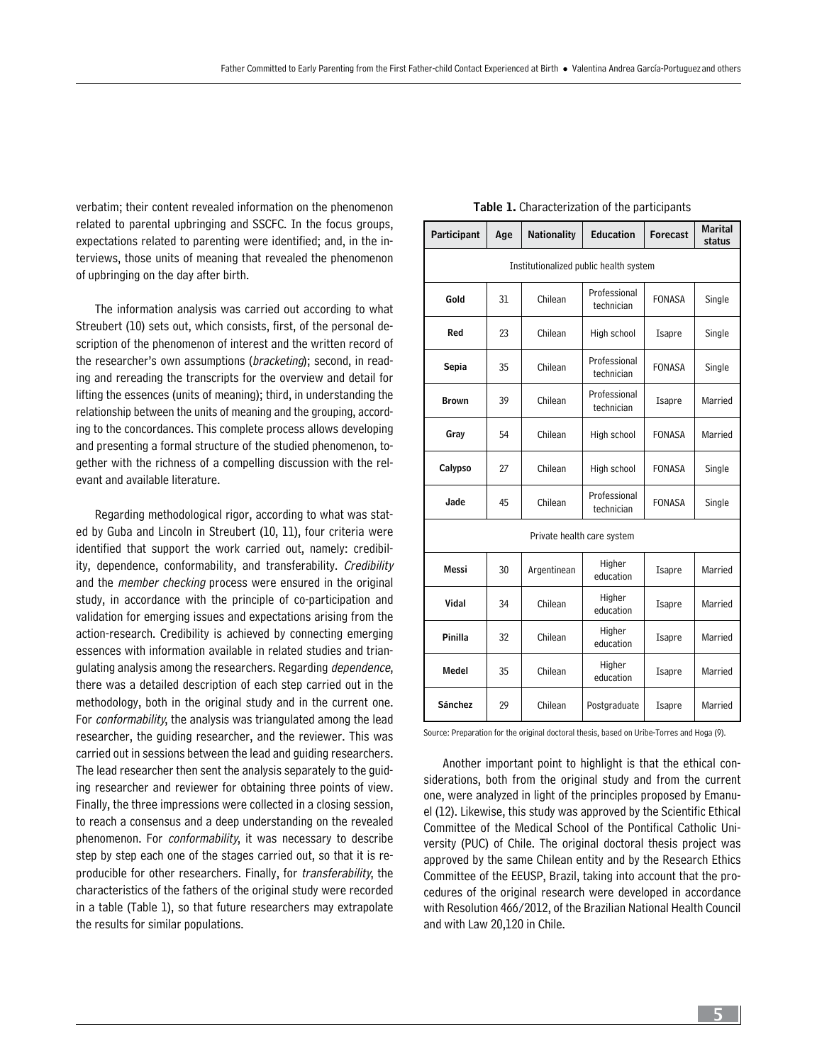verbatim; their content revealed information on the phenomenon related to parental upbringing and SSCFC. In the focus groups, expectations related to parenting were identified; and, in the interviews, those units of meaning that revealed the phenomenon of upbringing on the day after birth.

The information analysis was carried out according to what Streubert (10) sets out, which consists, first, of the personal description of the phenomenon of interest and the written record of the researcher's own assumptions (bracketing); second, in reading and rereading the transcripts for the overview and detail for lifting the essences (units of meaning); third, in understanding the relationship between the units of meaning and the grouping, according to the concordances. This complete process allows developing and presenting a formal structure of the studied phenomenon, together with the richness of a compelling discussion with the relevant and available literature.

Regarding methodological rigor, according to what was stated by Guba and Lincoln in Streubert (10, 11), four criteria were identified that support the work carried out, namely: credibility, dependence, conformability, and transferability. Credibility and the member checking process were ensured in the original study, in accordance with the principle of co-participation and validation for emerging issues and expectations arising from the action-research. Credibility is achieved by connecting emerging essences with information available in related studies and triangulating analysis among the researchers. Regarding *dependence*, there was a detailed description of each step carried out in the methodology, both in the original study and in the current one. For conformability, the analysis was triangulated among the lead researcher, the guiding researcher, and the reviewer. This was carried out in sessions between the lead and guiding researchers. The lead researcher then sent the analysis separately to the guiding researcher and reviewer for obtaining three points of view. Finally, the three impressions were collected in a closing session, to reach a consensus and a deep understanding on the revealed phenomenon. For *conformability*, it was necessary to describe step by step each one of the stages carried out, so that it is reproducible for other researchers. Finally, for *transferability*, the characteristics of the fathers of the original study were recorded in a table (Table 1), so that future researchers may extrapolate the results for similar populations.

| Participant                            | Age | <b>Nationality</b> | <b>Education</b>           | <b>Forecast</b> | <b>Marital</b><br>status |  |  |  |
|----------------------------------------|-----|--------------------|----------------------------|-----------------|--------------------------|--|--|--|
| Institutionalized public health system |     |                    |                            |                 |                          |  |  |  |
| Gold                                   | 31  | Chilean            | Professional<br>technician | <b>FONASA</b>   | Single                   |  |  |  |
| Red                                    | 23  | Chilean            | High school                | Isapre          | Single                   |  |  |  |
| Sepia                                  | 35  | Chilean            | Professional<br>technician | <b>FONASA</b>   | Single                   |  |  |  |
| <b>Brown</b>                           | 39  | Chilean            | Professional<br>technician | Isapre          | Married                  |  |  |  |
| Gray                                   | 54  | Chilean            | High school                | <b>FONASA</b>   | Married                  |  |  |  |
| Calypso                                | 27  | Chilean            | High school                | <b>FONASA</b>   | Single                   |  |  |  |
| Jade                                   | 45  | Chilean            | Professional<br>technician | <b>FONASA</b>   | Single                   |  |  |  |
| Private health care system             |     |                    |                            |                 |                          |  |  |  |
| Messi                                  | 30  | Argentinean        | Higher<br>education        | Isapre          | Married                  |  |  |  |
| Vidal                                  | 34  | Chilean            | Higher<br>education        | Isapre          | Married                  |  |  |  |
| Dinilla                                | つつ  | Chilann            | Higher                     | Toonro          | Marriad                  |  |  |  |

#### Table 1. Characterization of the participants

| Messi   | 30 | Argentinean | Higher<br>education | Isapre | Married |
|---------|----|-------------|---------------------|--------|---------|
| Vidal   | 34 | Chilean     | Higher<br>education | Isapre | Married |
| Pinilla | 32 | Chilean     | Higher<br>education | Isapre | Married |
| Medel   | 35 | Chilean     | Higher<br>education | Isapre | Married |
| Sánchez | 29 | Chilean     | Postgraduate        | Isapre | Married |

Source: Preparation for the original doctoral thesis, based on Uribe-Torres and Hoga (9).

Another important point to highlight is that the ethical considerations, both from the original study and from the current one, were analyzed in light of the principles proposed by Emanuel (12). Likewise, this study was approved by the Scientific Ethical Committee of the Medical School of the Pontifical Catholic University (PUC) of Chile. The original doctoral thesis project was approved by the same Chilean entity and by the Research Ethics Committee of the EEUSP, Brazil, taking into account that the procedures of the original research were developed in accordance with Resolution 466/2012, of the Brazilian National Health Council and with Law 20,120 in Chile.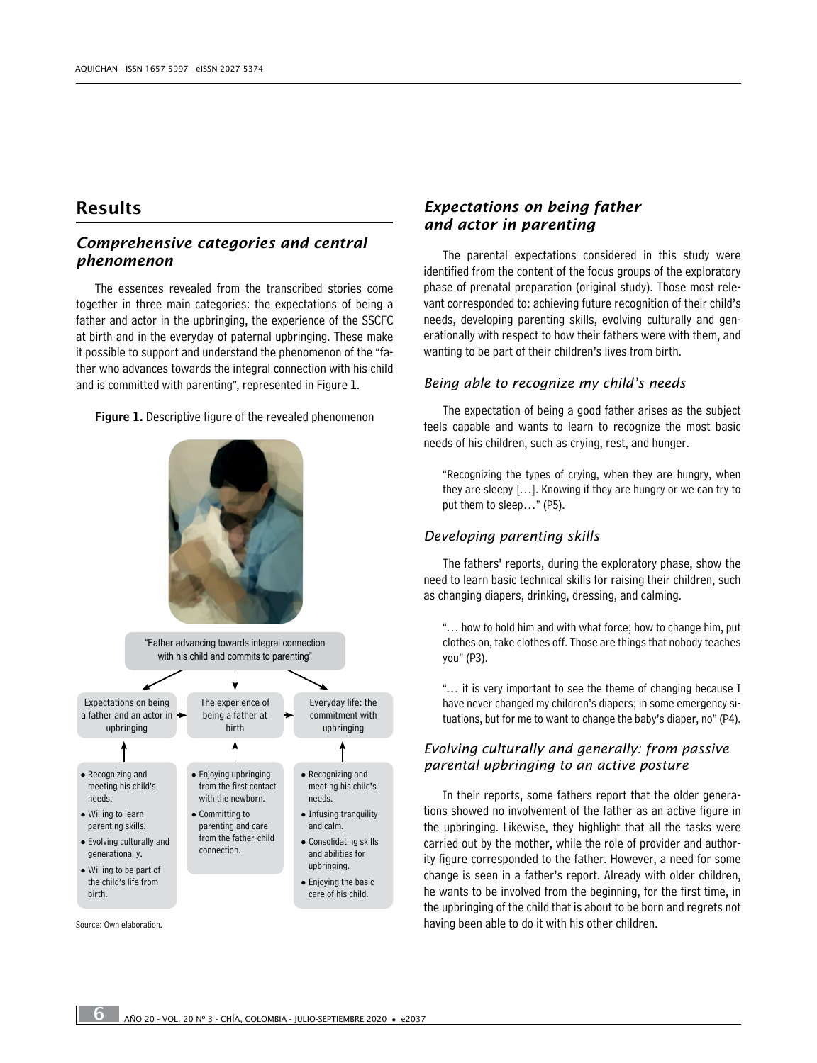## Results

## *Comprehensive categories and central phenomenon*

The essences revealed from the transcribed stories come together in three main categories: the expectations of being a father and actor in the upbringing, the experience of the SSCFC at birth and in the everyday of paternal upbringing. These make it possible to support and understand the phenomenon of the "father who advances towards the integral connection with his child and is committed with parenting", represented in Figure 1.



Figure 1. Descriptive figure of the revealed phenomenon

## *Expectations on being father and actor in parenting*

The parental expectations considered in this study were identified from the content of the focus groups of the exploratory phase of prenatal preparation (original study). Those most relevant corresponded to: achieving future recognition of their child's needs, developing parenting skills, evolving culturally and generationally with respect to how their fathers were with them, and wanting to be part of their children's lives from birth.

## *Being able to recognize my child's needs*

The expectation of being a good father arises as the subject feels capable and wants to learn to recognize the most basic needs of his children, such as crying, rest, and hunger.

"Recognizing the types of crying, when they are hungry, when they are sleepy […]. Knowing if they are hungry or we can try to put them to sleep…" (P5).

#### *Developing parenting skills*

The fathers' reports, during the exploratory phase, show the need to learn basic technical skills for raising their children, such as changing diapers, drinking, dressing, and calming.

"… how to hold him and with what force; how to change him, put clothes on, take clothes off. Those are things that nobody teaches you" (P3).

"… it is very important to see the theme of changing because I have never changed my children's diapers; in some emergency situations, but for me to want to change the baby's diaper, no" (P4).

#### *Evolving culturally and generally: from passive parental upbringing to an active posture*

In their reports, some fathers report that the older generations showed no involvement of the father as an active figure in the upbringing. Likewise, they highlight that all the tasks were carried out by the mother, while the role of provider and authority figure corresponded to the father. However, a need for some change is seen in a father's report. Already with older children, he wants to be involved from the beginning, for the first time, in the upbringing of the child that is about to be born and regrets not Source: Own elaboration. having been able to do it with his other children.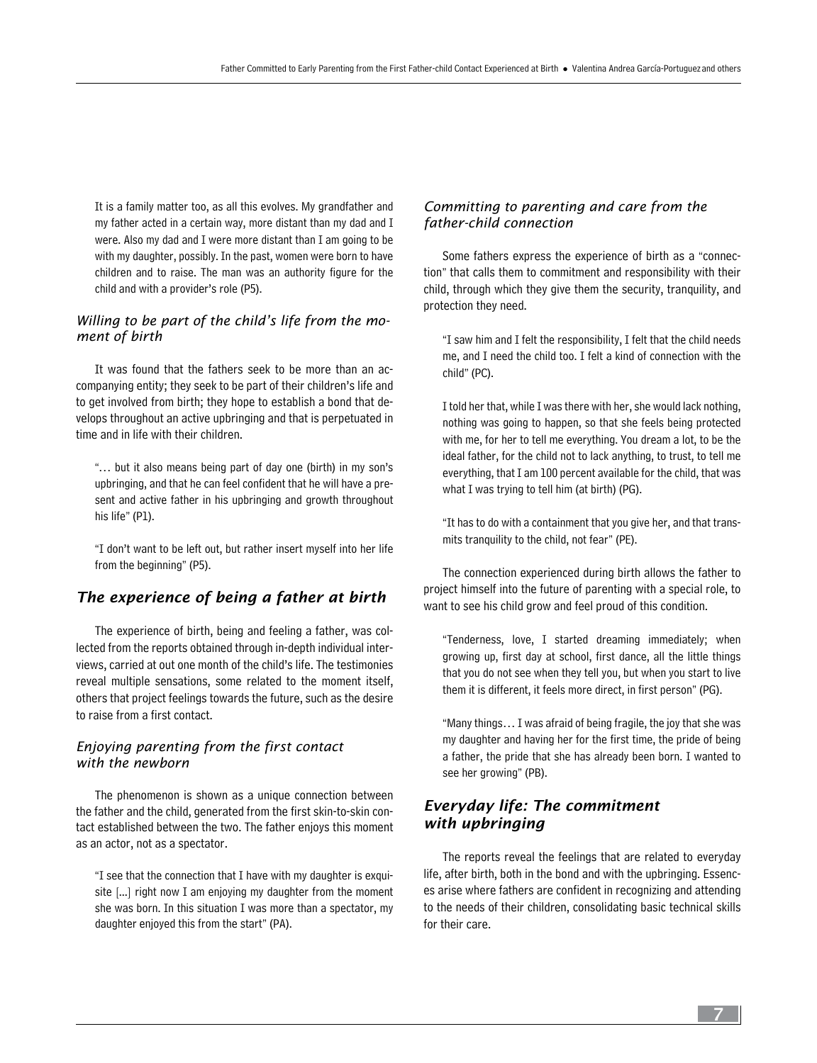It is a family matter too, as all this evolves. My grandfather and my father acted in a certain way, more distant than my dad and I were. Also my dad and I were more distant than I am going to be with my daughter, possibly. In the past, women were born to have children and to raise. The man was an authority figure for the child and with a provider's role (P5).

## *Willing to be part of the child's life from the moment of birth*

It was found that the fathers seek to be more than an accompanying entity; they seek to be part of their children's life and to get involved from birth; they hope to establish a bond that develops throughout an active upbringing and that is perpetuated in time and in life with their children.

"… but it also means being part of day one (birth) in my son's upbringing, and that he can feel confident that he will have a present and active father in his upbringing and growth throughout his life" (P1).

"I don't want to be left out, but rather insert myself into her life from the beginning" (P5).

## *The experience of being a father at birth*

The experience of birth, being and feeling a father, was collected from the reports obtained through in-depth individual interviews, carried at out one month of the child's life. The testimonies reveal multiple sensations, some related to the moment itself, others that project feelings towards the future, such as the desire to raise from a first contact.

#### *Enjoying parenting from the first contact with the newborn*

The phenomenon is shown as a unique connection between the father and the child, generated from the first skin-to-skin contact established between the two. The father enjoys this moment as an actor, not as a spectator.

"I see that the connection that I have with my daughter is exquisite [...] right now I am enjoying my daughter from the moment she was born. In this situation I was more than a spectator, my daughter enjoyed this from the start" (PA).

## *Committing to parenting and care from the father-child connection*

Some fathers express the experience of birth as a "connection" that calls them to commitment and responsibility with their child, through which they give them the security, tranquility, and protection they need.

"I saw him and I felt the responsibility, I felt that the child needs me, and I need the child too. I felt a kind of connection with the child" (PC).

I told her that, while I was there with her, she would lack nothing, nothing was going to happen, so that she feels being protected with me, for her to tell me everything. You dream a lot, to be the ideal father, for the child not to lack anything, to trust, to tell me everything, that I am 100 percent available for the child, that was what I was trying to tell him (at birth) (PG).

"It has to do with a containment that you give her, and that transmits tranquility to the child, not fear" (PE).

The connection experienced during birth allows the father to project himself into the future of parenting with a special role, to want to see his child grow and feel proud of this condition.

"Tenderness, love, I started dreaming immediately; when growing up, first day at school, first dance, all the little things that you do not see when they tell you, but when you start to live them it is different, it feels more direct, in first person" (PG).

"Many things… I was afraid of being fragile, the joy that she was my daughter and having her for the first time, the pride of being a father, the pride that she has already been born. I wanted to see her growing" (PB).

## *Everyday life: The commitment with upbringing*

The reports reveal the feelings that are related to everyday life, after birth, both in the bond and with the upbringing. Essences arise where fathers are confident in recognizing and attending to the needs of their children, consolidating basic technical skills for their care.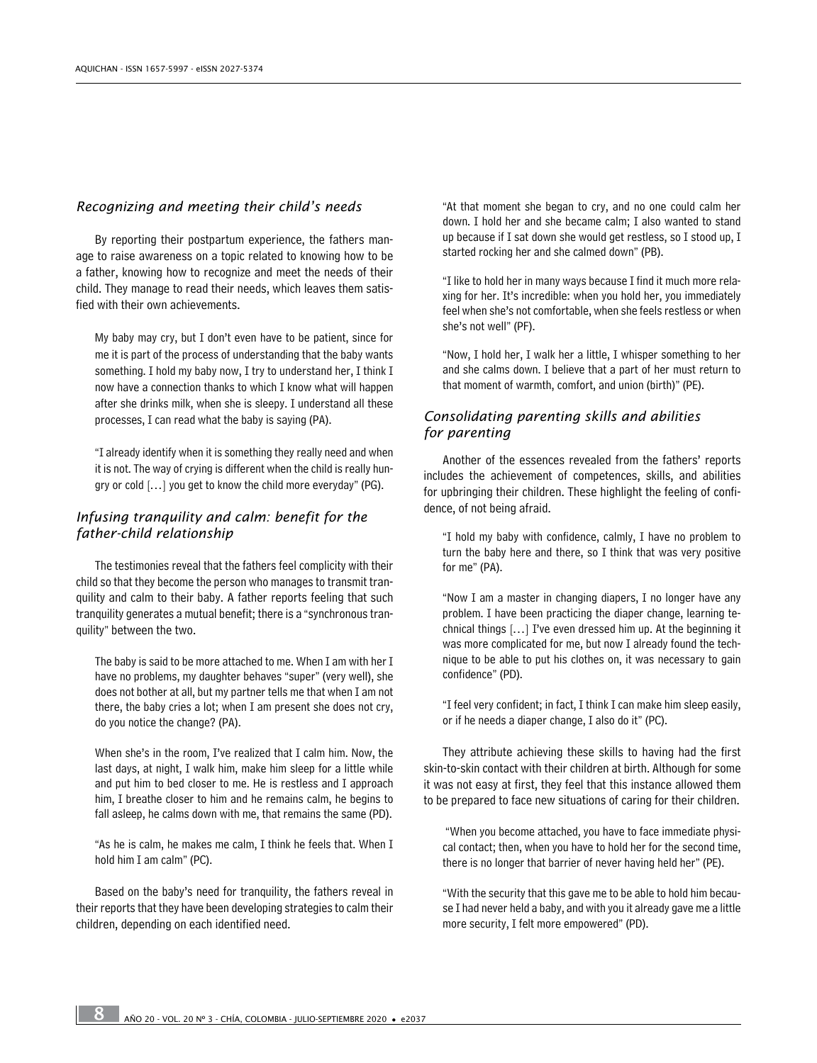#### *Recognizing and meeting their child's needs*

By reporting their postpartum experience, the fathers manage to raise awareness on a topic related to knowing how to be a father, knowing how to recognize and meet the needs of their child. They manage to read their needs, which leaves them satisfied with their own achievements.

My baby may cry, but I don't even have to be patient, since for me it is part of the process of understanding that the baby wants something. I hold my baby now, I try to understand her, I think I now have a connection thanks to which I know what will happen after she drinks milk, when she is sleepy. I understand all these processes, I can read what the baby is saying (PA).

"I already identify when it is something they really need and when it is not. The way of crying is different when the child is really hungry or cold […] you get to know the child more everyday" (PG).

### *Infusing tranquility and calm: benefit for the father-child relationship*

The testimonies reveal that the fathers feel complicity with their child so that they become the person who manages to transmit tranquility and calm to their baby. A father reports feeling that such tranquility generates a mutual benefit; there is a "synchronous tranquility" between the two.

The baby is said to be more attached to me. When I am with her I have no problems, my daughter behaves "super" (very well), she does not bother at all, but my partner tells me that when I am not there, the baby cries a lot; when I am present she does not cry, do you notice the change? (PA).

When she's in the room, I've realized that I calm him. Now, the last days, at night, I walk him, make him sleep for a little while and put him to bed closer to me. He is restless and I approach him, I breathe closer to him and he remains calm, he begins to fall asleep, he calms down with me, that remains the same (PD).

"As he is calm, he makes me calm, I think he feels that. When I hold him I am calm" (PC).

Based on the baby's need for tranquility, the fathers reveal in their reports that they have been developing strategies to calm their children, depending on each identified need.

"At that moment she began to cry, and no one could calm her down. I hold her and she became calm; I also wanted to stand up because if I sat down she would get restless, so I stood up, I started rocking her and she calmed down" (PB).

"I like to hold her in many ways because I find it much more relaxing for her. It's incredible: when you hold her, you immediately feel when she's not comfortable, when she feels restless or when she's not well" (PF).

"Now, I hold her, I walk her a little, I whisper something to her and she calms down. I believe that a part of her must return to that moment of warmth, comfort, and union (birth)" (PE).

### *Consolidating parenting skills and abilities for parenting*

Another of the essences revealed from the fathers' reports includes the achievement of competences, skills, and abilities for upbringing their children. These highlight the feeling of confidence, of not being afraid.

"I hold my baby with confidence, calmly, I have no problem to turn the baby here and there, so I think that was very positive for me" (PA).

"Now I am a master in changing diapers, I no longer have any problem. I have been practicing the diaper change, learning technical things […] I've even dressed him up. At the beginning it was more complicated for me, but now I already found the technique to be able to put his clothes on, it was necessary to gain confidence" (PD).

"I feel very confident; in fact, I think I can make him sleep easily, or if he needs a diaper change, I also do it" (PC).

They attribute achieving these skills to having had the first skin-to-skin contact with their children at birth. Although for some it was not easy at first, they feel that this instance allowed them to be prepared to face new situations of caring for their children.

"When you become attached, you have to face immediate physical contact; then, when you have to hold her for the second time, there is no longer that barrier of never having held her" (PE).

"With the security that this gave me to be able to hold him because I had never held a baby, and with you it already gave me a little more security, I felt more empowered" (PD).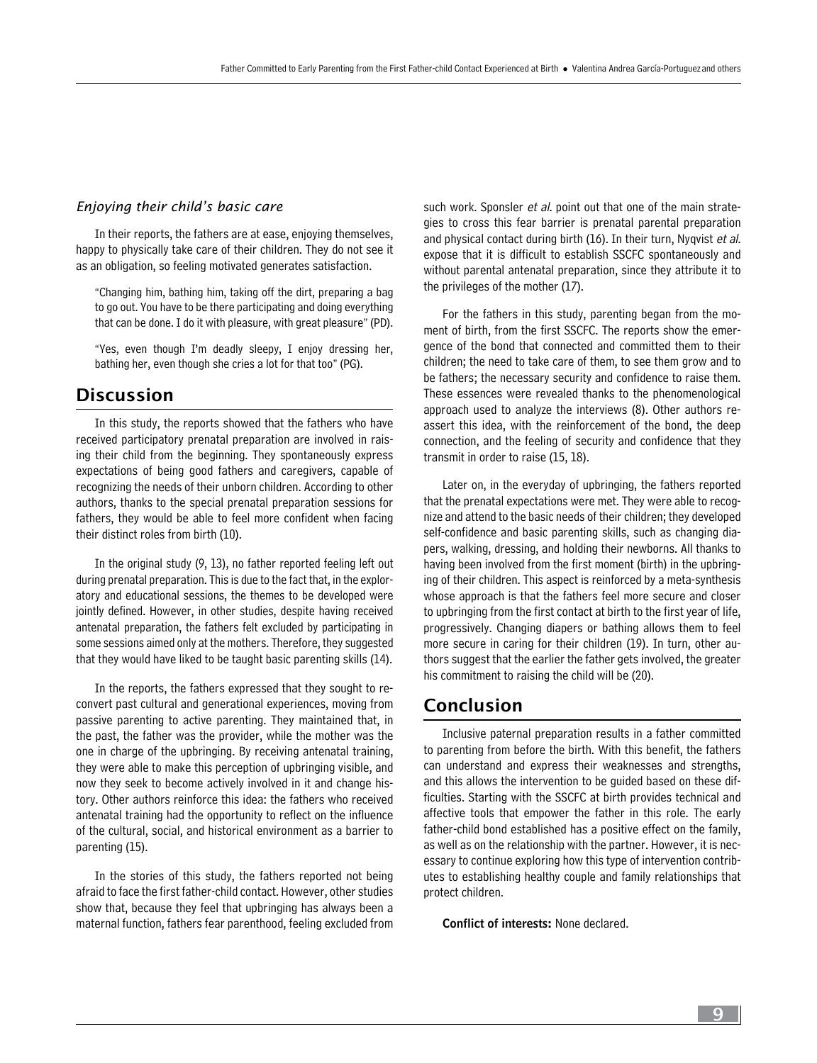#### *Enjoying their child's basic care*

In their reports, the fathers are at ease, enjoying themselves, happy to physically take care of their children. They do not see it as an obligation, so feeling motivated generates satisfaction.

"Changing him, bathing him, taking off the dirt, preparing a bag to go out. You have to be there participating and doing everything that can be done. I do it with pleasure, with great pleasure" (PD).

"Yes, even though I'm deadly sleepy, I enjoy dressing her, bathing her, even though she cries a lot for that too" (PG).

## Discussion

In this study, the reports showed that the fathers who have received participatory prenatal preparation are involved in raising their child from the beginning. They spontaneously express expectations of being good fathers and caregivers, capable of recognizing the needs of their unborn children. According to other authors, thanks to the special prenatal preparation sessions for fathers, they would be able to feel more confident when facing their distinct roles from birth (10).

In the original study (9, 13), no father reported feeling left out during prenatal preparation. This is due to the fact that, in the exploratory and educational sessions, the themes to be developed were jointly defined. However, in other studies, despite having received antenatal preparation, the fathers felt excluded by participating in some sessions aimed only at the mothers. Therefore, they suggested that they would have liked to be taught basic parenting skills (14).

In the reports, the fathers expressed that they sought to reconvert past cultural and generational experiences, moving from passive parenting to active parenting. They maintained that, in the past, the father was the provider, while the mother was the one in charge of the upbringing. By receiving antenatal training, they were able to make this perception of upbringing visible, and now they seek to become actively involved in it and change history. Other authors reinforce this idea: the fathers who received antenatal training had the opportunity to reflect on the influence of the cultural, social, and historical environment as a barrier to parenting (15).

In the stories of this study, the fathers reported not being afraid to face the first father-child contact. However, other studies show that, because they feel that upbringing has always been a maternal function, fathers fear parenthood, feeling excluded from such work. Sponsler et al. point out that one of the main strategies to cross this fear barrier is prenatal parental preparation and physical contact during birth (16). In their turn, Nyqvist et al. expose that it is difficult to establish SSCFC spontaneously and without parental antenatal preparation, since they attribute it to the privileges of the mother (17).

For the fathers in this study, parenting began from the moment of birth, from the first SSCFC. The reports show the emergence of the bond that connected and committed them to their children; the need to take care of them, to see them grow and to be fathers; the necessary security and confidence to raise them. These essences were revealed thanks to the phenomenological approach used to analyze the interviews (8). Other authors reassert this idea, with the reinforcement of the bond, the deep connection, and the feeling of security and confidence that they transmit in order to raise (15, 18).

Later on, in the everyday of upbringing, the fathers reported that the prenatal expectations were met. They were able to recognize and attend to the basic needs of their children; they developed self-confidence and basic parenting skills, such as changing diapers, walking, dressing, and holding their newborns. All thanks to having been involved from the first moment (birth) in the upbringing of their children. This aspect is reinforced by a meta-synthesis whose approach is that the fathers feel more secure and closer to upbringing from the first contact at birth to the first year of life, progressively. Changing diapers or bathing allows them to feel more secure in caring for their children (19). In turn, other authors suggest that the earlier the father gets involved, the greater his commitment to raising the child will be (20).

## Conclusion

Inclusive paternal preparation results in a father committed to parenting from before the birth. With this benefit, the fathers can understand and express their weaknesses and strengths, and this allows the intervention to be guided based on these difficulties. Starting with the SSCFC at birth provides technical and affective tools that empower the father in this role. The early father-child bond established has a positive effect on the family, as well as on the relationship with the partner. However, it is necessary to continue exploring how this type of intervention contributes to establishing healthy couple and family relationships that protect children.

Conflict of interests: None declared.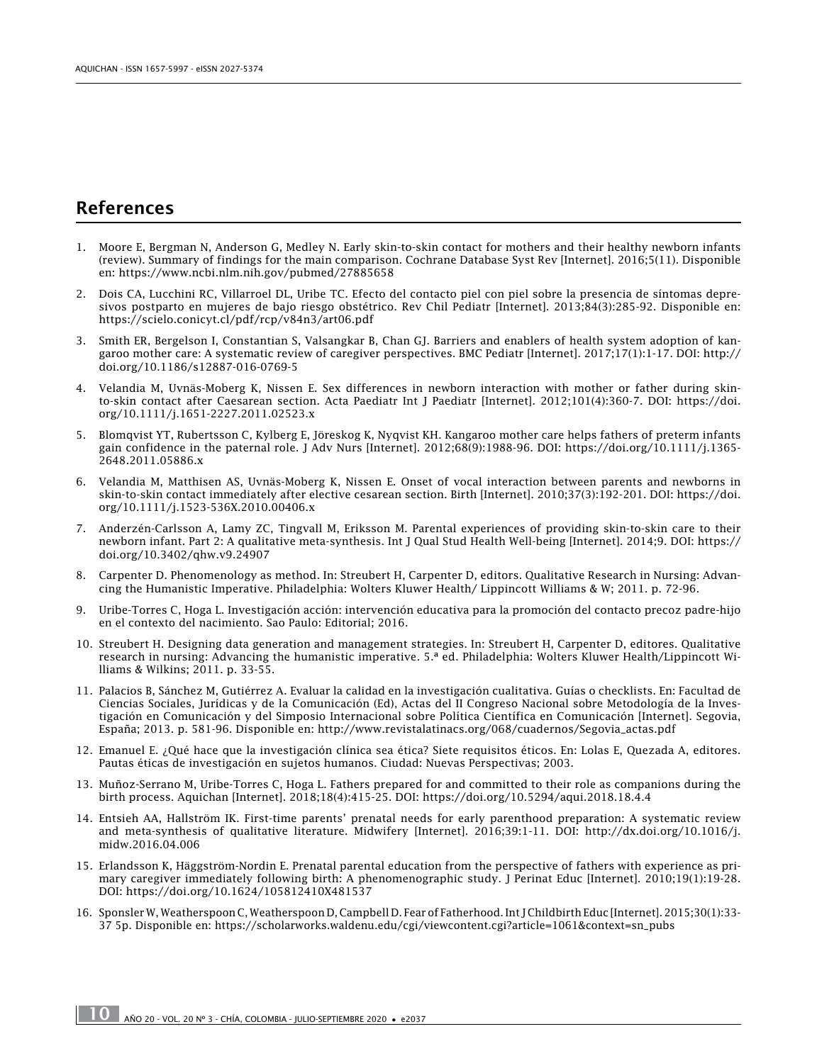## References

- 1. Moore E, Bergman N, Anderson G, Medley N. Early skin-to-skin contact for mothers and their healthy newborn infants (review). Summary of findings for the main comparison. Cochrane Database Syst Rev [Internet]. 2016;5(11). Disponible en: <https://www.ncbi.nlm.nih.gov/pubmed/27885658>
- 2. Dois CA, Lucchini RC, Villarroel DL, Uribe TC. Efecto del contacto piel con piel sobre la presencia de síntomas depresivos postparto en mujeres de bajo riesgo obstétrico. Rev Chil Pediatr [Internet]. 2013;84(3):285-92. Disponible en: <https://scielo.conicyt.cl/pdf/rcp/v84n3/art06.pdf>
- 3. Smith ER, Bergelson I, Constantian S, Valsangkar B, Chan GJ. Barriers and enablers of health system adoption of kangaroo mother care: A systematic review of caregiver perspectives. BMC Pediatr [Internet]. 2017;17(1):1-17. DOI: [http://](http://doi.org/10.1186/s12887-016-0769-5) [doi.org/10.1186/s12887-016-0769-5](http://doi.org/10.1186/s12887-016-0769-5)
- 4. Velandia M, Uvnäs-Moberg K, Nissen E. Sex differences in newborn interaction with mother or father during skinto-skin contact after Caesarean section. Acta Paediatr Int J Paediatr [Internet]. 2012;101(4):360-7. DOI: [https://doi.](https://doi.org/10.1111/j.1651-2227.2011.02523.x) [org/10.1111/j.1651-2227.2011.02523.x](https://doi.org/10.1111/j.1651-2227.2011.02523.x)
- 5. Blomqvist YT, Rubertsson C, Kylberg E, Jöreskog K, Nyqvist KH. Kangaroo mother care helps fathers of preterm infants gain confidence in the paternal role. J Adv Nurs [Internet]. 2012;68(9):1988-96. DOI: [https://doi.org/10.1111/j.1365-](https://doi.org/10.1111/j.1365-2648.2011.05886.x) [2648.2011.05886.x](https://doi.org/10.1111/j.1365-2648.2011.05886.x)
- 6. Velandia M, Matthisen AS, Uvnäs-Moberg K, Nissen E. Onset of vocal interaction between parents and newborns in skin-to-skin contact immediately after elective cesarean section. Birth [Internet]. 2010;37(3):192-201. DOI: [https://doi.](https://doi.org/10.1111/j.1523-536X.2010.00406.x) [org/10.1111/j.1523-536X.2010.00406.x](https://doi.org/10.1111/j.1523-536X.2010.00406.x)
- 7. Anderzén-Carlsson A, Lamy ZC, Tingvall M, Eriksson M. Parental experiences of providing skin-to-skin care to their newborn infant. Part 2: A qualitative meta-synthesis. Int J Qual Stud Health Well-being [Internet]. 2014;9. DOI: [https://](https://doi.org/10.3402/qhw.v9.24907) [doi.org/10.3402/qhw.v9.24907](https://doi.org/10.3402/qhw.v9.24907)
- 8. Carpenter D. Phenomenology as method. In: Streubert H, Carpenter D, editors. Qualitative Research in Nursing: Advancing the Humanistic Imperative. Philadelphia: Wolters Kluwer Health/ Lippincott Williams & W; 2011. p. 72-96.
- 9. Uribe-Torres C, Hoga L. Investigación acción: intervención educativa para la promoción del contacto precoz padre-hijo en el contexto del nacimiento. Sao Paulo: Editorial; 2016.
- 10. Streubert H. Designing data generation and management strategies. In: Streubert H, Carpenter D, editores. Qualitative research in nursing: Advancing the humanistic imperative. 5.ª ed. Philadelphia: Wolters Kluwer Health/Lippincott Williams & Wilkins; 2011. p. 33-55.
- 11. Palacios B, Sánchez M, Gutiérrez A. Evaluar la calidad en la investigación cualitativa. Guías o checklists. En: Facultad de Ciencias Sociales, Jurídicas y de la Comunicación (Ed), Actas del II Congreso Nacional sobre Metodología de la Investigación en Comunicación y del Simposio Internacional sobre Política Científica en Comunicación [Internet]. Segovia, España; 2013. p. 581-96. Disponible en: [http://www.revistalatinacs.org/068/cuadernos/Segovia\\_actas.pdf](http://www.revistalatinacs.org/068/cuadernos/Segovia_actas.pdf)
- 12. Emanuel E. ¿Qué hace que la investigación clínica sea ética? Siete requisitos éticos. En: Lolas E, Quezada A, editores. Pautas éticas de investigación en sujetos humanos. Ciudad: Nuevas Perspectivas; 2003.
- 13. Muñoz-Serrano M, Uribe-Torres C, Hoga L. Fathers prepared for and committed to their role as companions during the birth process. Aquichan [Internet]. 2018;18(4):415-25. DOI:<https://doi.org/10.5294/aqui.2018.18.4.4>
- 14. Entsieh AA, Hallström IK. First-time parents' prenatal needs for early parenthood preparation: A systematic review and meta-synthesis of qualitative literature. Midwifery [Internet]. 2016;39:1-11. DOI: [http://dx.doi.org/10.1016/j.](http://dx.doi.org/10.1016/j.midw.2016.04.006) [midw.2016.04.006](http://dx.doi.org/10.1016/j.midw.2016.04.006)
- 15. Erlandsson K, Häggström-Nordin E. Prenatal parental education from the perspective of fathers with experience as primary caregiver immediately following birth: A phenomenographic study. J Perinat Educ [Internet]. 2010;19(1):19-28. DOI:<https://doi.org/10.1624/105812410X481537>
- 16. Sponsler W, Weatherspoon C, Weatherspoon D, Campbell D. Fear of Fatherhood. Int J Childbirth Educ [Internet]. 2015;30(1):33- 37 5p. Disponible en: [https://scholarworks.waldenu.edu/cgi/viewcontent.cgi?article=1061&context=sn\\_pubs](https://scholarworks.waldenu.edu/cgi/viewcontent.cgi?article=1061&context=sn_pubs)